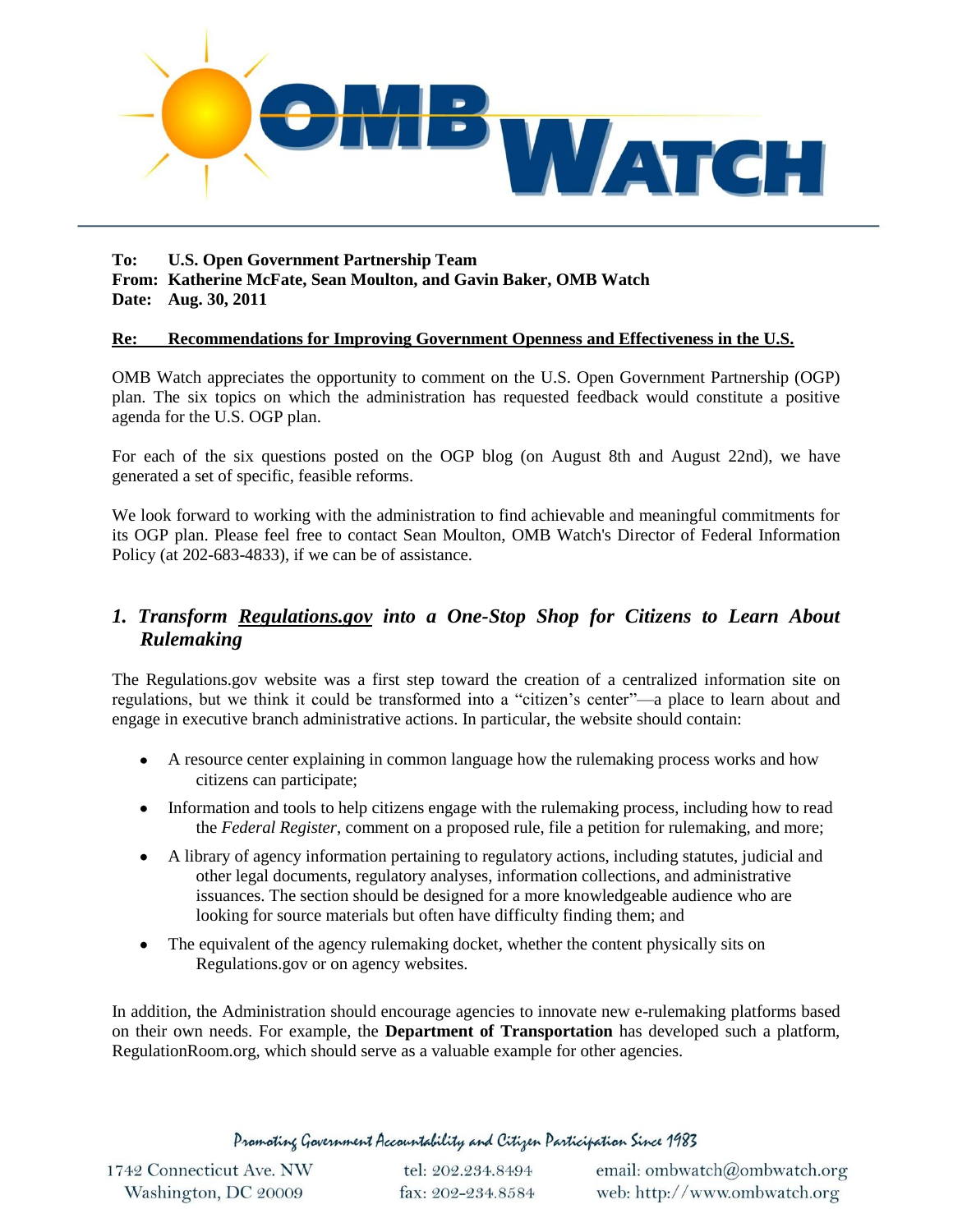

**To: U.S. Open Government Partnership Team From: Katherine McFate, Sean Moulton, and Gavin Baker, OMB Watch Date: Aug. 30, 2011**

#### **Re: Recommendations for Improving Government Openness and Effectiveness in the U.S.**

OMB Watch appreciates the opportunity to comment on the U.S. Open Government Partnership (OGP) plan. The six topics on which the administration has requested feedback would constitute a positive agenda for the U.S. OGP plan.

For each of the six questions posted on the OGP blog (on August 8th and August 22nd), we have generated a set of specific, feasible reforms.

We look forward to working with the administration to find achievable and meaningful commitments for its OGP plan. Please feel free to contact Sean Moulton, OMB Watch's Director of Federal Information Policy (at 202-683-4833), if we can be of assistance.

## *1. Transform Regulations.gov into a One-Stop Shop for Citizens to Learn About Rulemaking*

The Regulations.gov website was a first step toward the creation of a centralized information site on regulations, but we think it could be transformed into a "citizen's center"—a place to learn about and engage in executive branch administrative actions. In particular, the website should contain:

- A resource center explaining in common language how the rulemaking process works and how citizens can participate;
- $\bullet$ Information and tools to help citizens engage with the rulemaking process, including how to read the *Federal Register*, comment on a proposed rule, file a petition for rulemaking, and more;
- A library of agency information pertaining to regulatory actions, including statutes, judicial and other legal documents, regulatory analyses, information collections, and administrative issuances. The section should be designed for a more knowledgeable audience who are looking for source materials but often have difficulty finding them; and
- The equivalent of the agency rulemaking docket, whether the content physically sits on Regulations.gov or on agency websites.

In addition, the Administration should encourage agencies to innovate new e-rulemaking platforms based on their own needs. For example, the **Department of Transportation** has developed such a platform, RegulationRoom.org, which should serve as a valuable example for other agencies.

Promoting Government Accountability and Citizen Participation Since 1983

| 1742 Connecticut Ave. NW |  |
|--------------------------|--|
| Washington, DC 20009     |  |

tel: 202.234.8494 fax: 202-234.8584

email: ombwatch@ombwatch.org web: http://www.ombwatch.org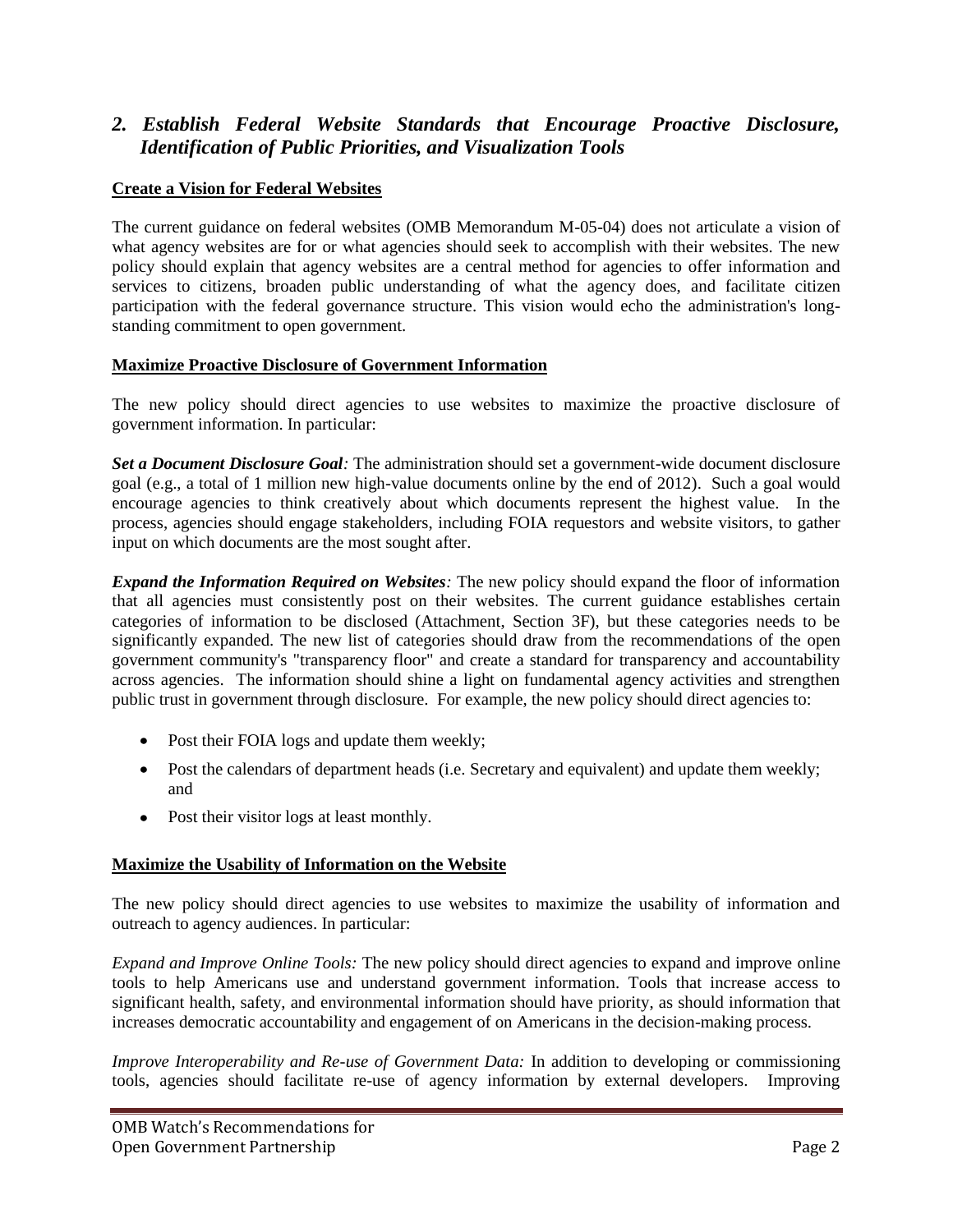## *2. Establish Federal Website Standards that Encourage Proactive Disclosure, Identification of Public Priorities, and Visualization Tools*

## **Create a Vision for Federal Websites**

The current guidance on federal websites (OMB Memorandum M-05-04) does not articulate a vision of what agency websites are for or what agencies should seek to accomplish with their websites. The new policy should explain that agency websites are a central method for agencies to offer information and services to citizens, broaden public understanding of what the agency does, and facilitate citizen participation with the federal governance structure. This vision would echo the administration's longstanding commitment to open government.

#### **Maximize Proactive Disclosure of Government Information**

The new policy should direct agencies to use websites to maximize the proactive disclosure of government information. In particular:

*Set a Document Disclosure Goal:* The administration should set a government-wide document disclosure goal (e.g., a total of 1 million new high-value documents online by the end of 2012). Such a goal would encourage agencies to think creatively about which documents represent the highest value. In the process, agencies should engage stakeholders, including FOIA requestors and website visitors, to gather input on which documents are the most sought after.

*Expand the Information Required on Websites:* The new policy should expand the floor of information that all agencies must consistently post on their websites. The current guidance establishes certain categories of information to be disclosed (Attachment, Section 3F), but these categories needs to be significantly expanded. The new list of categories should draw from the recommendations of the open government community's "transparency floor" and create a standard for transparency and accountability across agencies. The information should shine a light on fundamental agency activities and strengthen public trust in government through disclosure. For example, the new policy should direct agencies to:

- Post their FOIA logs and update them weekly;
- Post the calendars of department heads (i.e. Secretary and equivalent) and update them weekly; and
- Post their visitor logs at least monthly.

#### **Maximize the Usability of Information on the Website**

The new policy should direct agencies to use websites to maximize the usability of information and outreach to agency audiences. In particular:

*Expand and Improve Online Tools:* The new policy should direct agencies to expand and improve online tools to help Americans use and understand government information. Tools that increase access to significant health, safety, and environmental information should have priority, as should information that increases democratic accountability and engagement of on Americans in the decision-making process.

*Improve Interoperability and Re-use of Government Data: In addition to developing or commissioning* tools, agencies should facilitate re-use of agency information by external developers. Improving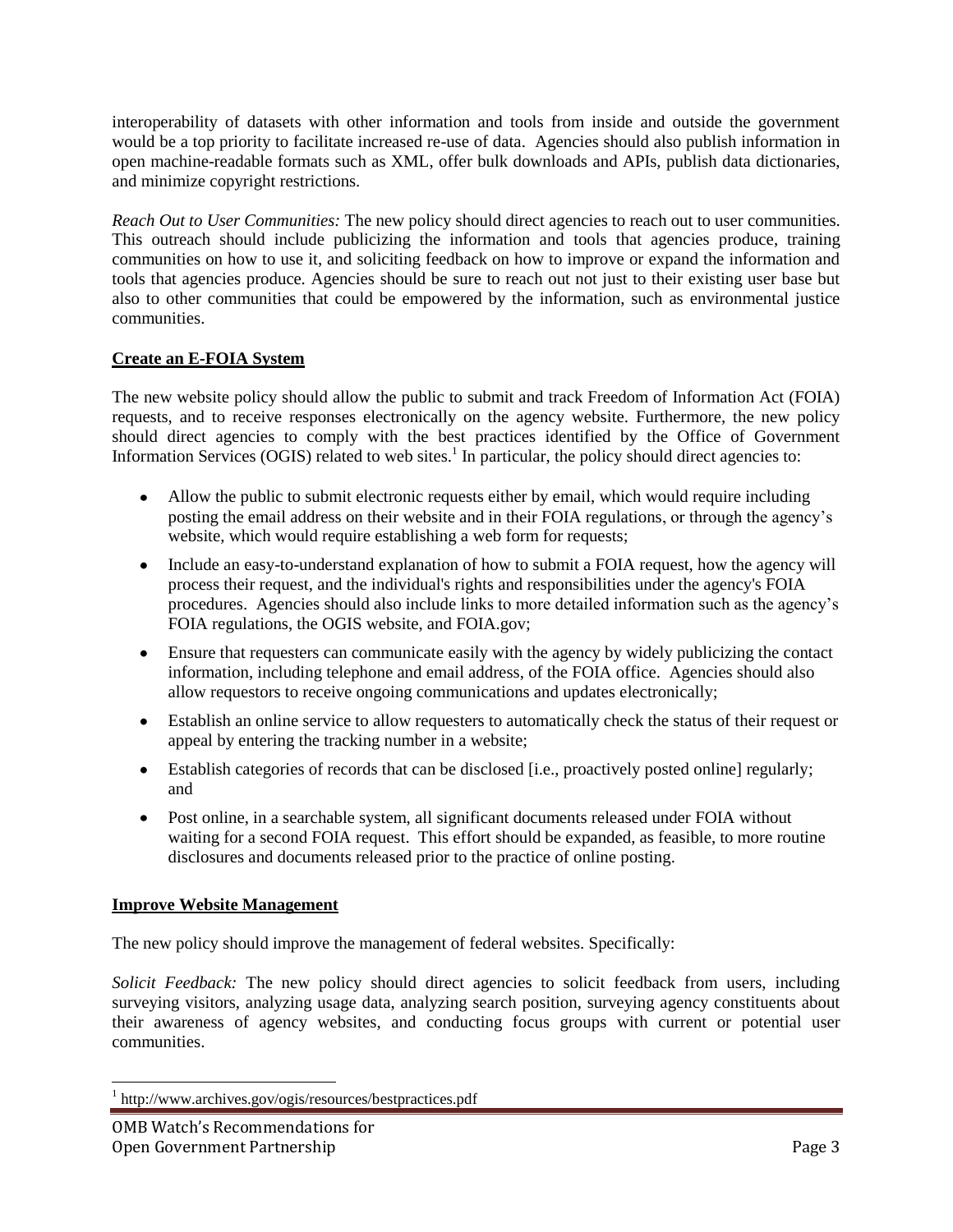interoperability of datasets with other information and tools from inside and outside the government would be a top priority to facilitate increased re-use of data. Agencies should also publish information in open machine-readable formats such as XML, offer bulk downloads and APIs, publish data dictionaries, and minimize copyright restrictions.

*Reach Out to User Communities:* The new policy should direct agencies to reach out to user communities. This outreach should include publicizing the information and tools that agencies produce, training communities on how to use it, and soliciting feedback on how to improve or expand the information and tools that agencies produce. Agencies should be sure to reach out not just to their existing user base but also to other communities that could be empowered by the information, such as environmental justice communities.

## **Create an E-FOIA System**

The new website policy should allow the public to submit and track Freedom of Information Act (FOIA) requests, and to receive responses electronically on the agency website. Furthermore, the new policy should direct agencies to comply with the best practices identified by the Office of Government Information Services (OGIS) related to web sites.<sup>1</sup> In particular, the policy should direct agencies to:

- Allow the public to submit electronic requests either by email, which would require including posting the email address on their website and in their FOIA regulations, or through the agency's website, which would require establishing a web form for requests;
- Include an easy-to-understand explanation of how to submit a FOIA request, how the agency will process their request, and the individual's rights and responsibilities under the agency's FOIA procedures. Agencies should also include links to more detailed information such as the agency's FOIA regulations, the OGIS website, and FOIA.gov;
- Ensure that requesters can communicate easily with the agency by widely publicizing the contact information, including telephone and email address, of the FOIA office. Agencies should also allow requestors to receive ongoing communications and updates electronically;
- Establish an online service to allow requesters to automatically check the status of their request or appeal by entering the tracking number in a website;
- Establish categories of records that can be disclosed [i.e., proactively posted online] regularly; and
- Post online, in a searchable system, all significant documents released under FOIA without waiting for a second FOIA request. This effort should be expanded, as feasible, to more routine disclosures and documents released prior to the practice of online posting.

#### **Improve Website Management**

The new policy should improve the management of federal websites. Specifically:

*Solicit Feedback:* The new policy should direct agencies to solicit feedback from users, including surveying visitors, analyzing usage data, analyzing search position, surveying agency constituents about their awareness of agency websites, and conducting focus groups with current or potential user communities.

<sup>1</sup> http://www.archives.gov/ogis/resources/bestpractices.pdf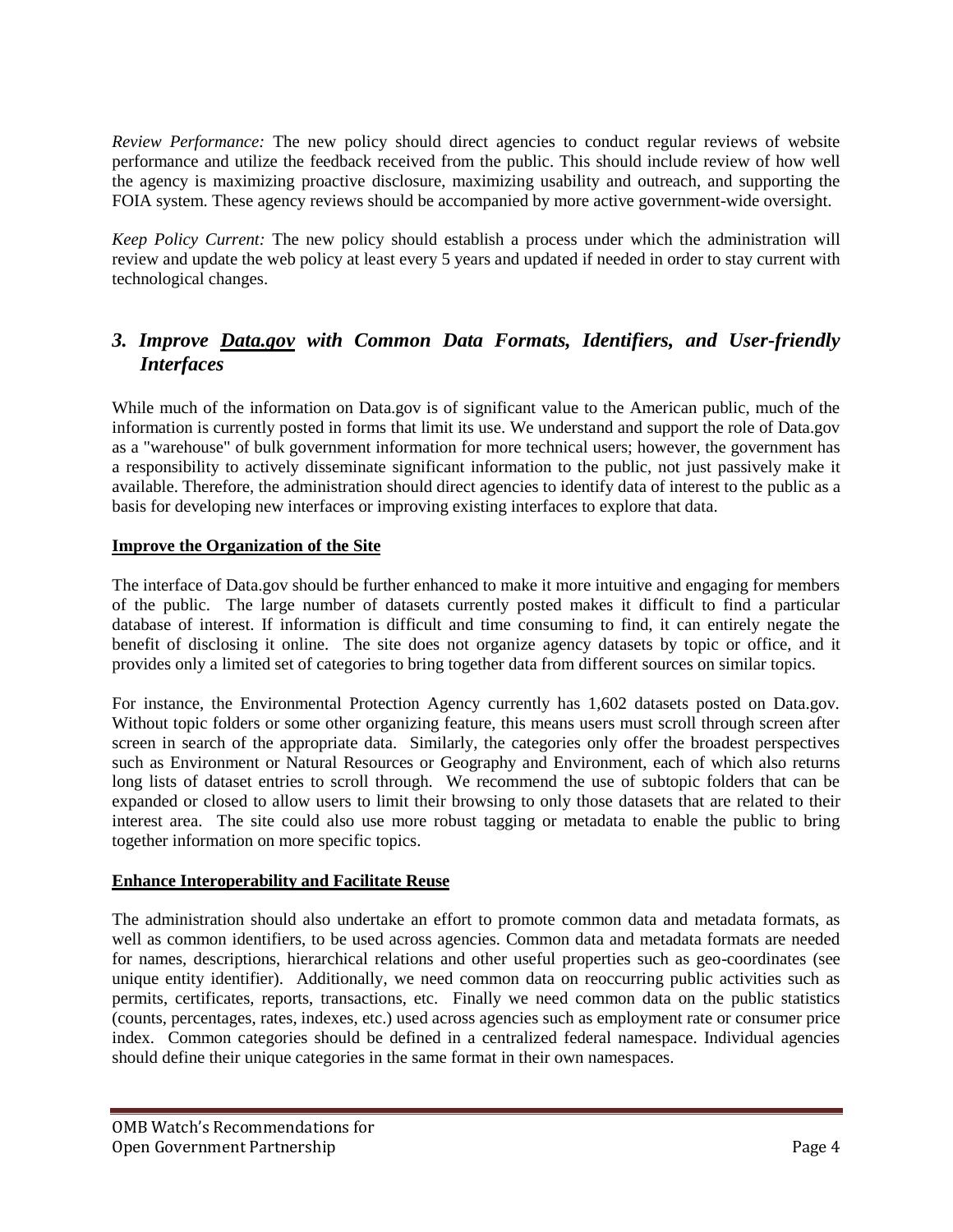*Review Performance:* The new policy should direct agencies to conduct regular reviews of website performance and utilize the feedback received from the public. This should include review of how well the agency is maximizing proactive disclosure, maximizing usability and outreach, and supporting the FOIA system. These agency reviews should be accompanied by more active government-wide oversight.

*Keep Policy Current:* The new policy should establish a process under which the administration will review and update the web policy at least every 5 years and updated if needed in order to stay current with technological changes.

# *3. Improve Data.gov with Common Data Formats, Identifiers, and User-friendly Interfaces*

While much of the information on Data.gov is of significant value to the American public, much of the information is currently posted in forms that limit its use. We understand and support the role of Data.gov as a "warehouse" of bulk government information for more technical users; however, the government has a responsibility to actively disseminate significant information to the public, not just passively make it available. Therefore, the administration should direct agencies to identify data of interest to the public as a basis for developing new interfaces or improving existing interfaces to explore that data.

#### **Improve the Organization of the Site**

The interface of Data.gov should be further enhanced to make it more intuitive and engaging for members of the public. The large number of datasets currently posted makes it difficult to find a particular database of interest. If information is difficult and time consuming to find, it can entirely negate the benefit of disclosing it online. The site does not organize agency datasets by topic or office, and it provides only a limited set of categories to bring together data from different sources on similar topics.

For instance, the Environmental Protection Agency currently has 1,602 datasets posted on Data.gov. Without topic folders or some other organizing feature, this means users must scroll through screen after screen in search of the appropriate data. Similarly, the categories only offer the broadest perspectives such as Environment or Natural Resources or Geography and Environment, each of which also returns long lists of dataset entries to scroll through. We recommend the use of subtopic folders that can be expanded or closed to allow users to limit their browsing to only those datasets that are related to their interest area. The site could also use more robust tagging or metadata to enable the public to bring together information on more specific topics.

#### **Enhance Interoperability and Facilitate Reuse**

The administration should also undertake an effort to promote common data and metadata formats, as well as common identifiers, to be used across agencies. Common data and metadata formats are needed for names, descriptions, hierarchical relations and other useful properties such as geo-coordinates (see unique entity identifier). Additionally, we need common data on reoccurring public activities such as permits, certificates, reports, transactions, etc. Finally we need common data on the public statistics (counts, percentages, rates, indexes, etc.) used across agencies such as employment rate or consumer price index. Common categories should be defined in a centralized federal namespace. Individual agencies should define their unique categories in the same format in their own namespaces.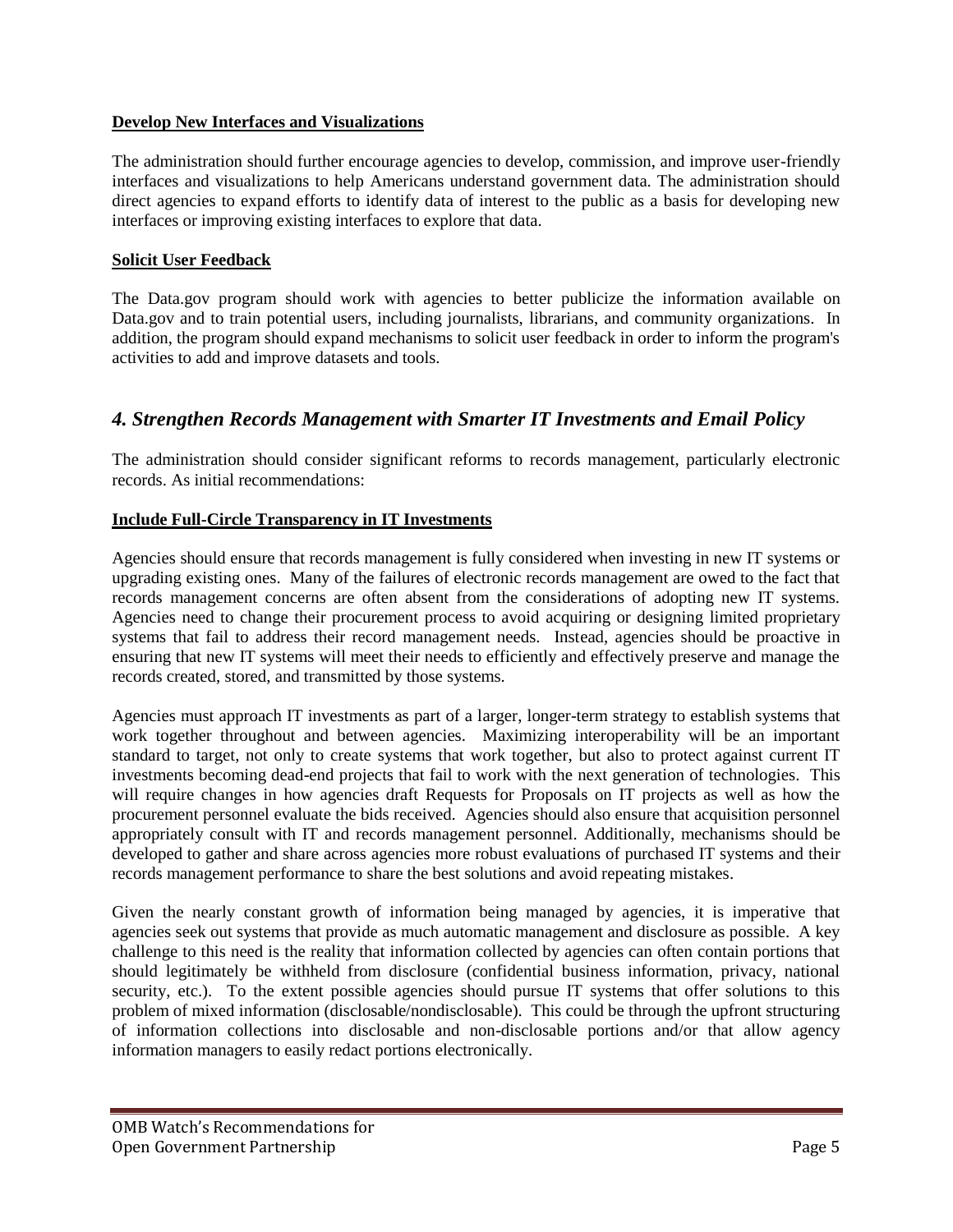#### **Develop New Interfaces and Visualizations**

The administration should further encourage agencies to develop, commission, and improve user-friendly interfaces and visualizations to help Americans understand government data. The administration should direct agencies to expand efforts to identify data of interest to the public as a basis for developing new interfaces or improving existing interfaces to explore that data.

#### **Solicit User Feedback**

The Data.gov program should work with agencies to better publicize the information available on Data.gov and to train potential users, including journalists, librarians, and community organizations. In addition, the program should expand mechanisms to solicit user feedback in order to inform the program's activities to add and improve datasets and tools.

## *4. Strengthen Records Management with Smarter IT Investments and Email Policy*

The administration should consider significant reforms to records management, particularly electronic records. As initial recommendations:

#### **Include Full-Circle Transparency in IT Investments**

Agencies should ensure that records management is fully considered when investing in new IT systems or upgrading existing ones. Many of the failures of electronic records management are owed to the fact that records management concerns are often absent from the considerations of adopting new IT systems. Agencies need to change their procurement process to avoid acquiring or designing limited proprietary systems that fail to address their record management needs. Instead, agencies should be proactive in ensuring that new IT systems will meet their needs to efficiently and effectively preserve and manage the records created, stored, and transmitted by those systems.

Agencies must approach IT investments as part of a larger, longer-term strategy to establish systems that work together throughout and between agencies. Maximizing interoperability will be an important standard to target, not only to create systems that work together, but also to protect against current IT investments becoming dead-end projects that fail to work with the next generation of technologies. This will require changes in how agencies draft Requests for Proposals on IT projects as well as how the procurement personnel evaluate the bids received. Agencies should also ensure that acquisition personnel appropriately consult with IT and records management personnel. Additionally, mechanisms should be developed to gather and share across agencies more robust evaluations of purchased IT systems and their records management performance to share the best solutions and avoid repeating mistakes.

Given the nearly constant growth of information being managed by agencies, it is imperative that agencies seek out systems that provide as much automatic management and disclosure as possible. A key challenge to this need is the reality that information collected by agencies can often contain portions that should legitimately be withheld from disclosure (confidential business information, privacy, national security, etc.). To the extent possible agencies should pursue IT systems that offer solutions to this problem of mixed information (disclosable/nondisclosable). This could be through the upfront structuring of information collections into disclosable and non-disclosable portions and/or that allow agency information managers to easily redact portions electronically.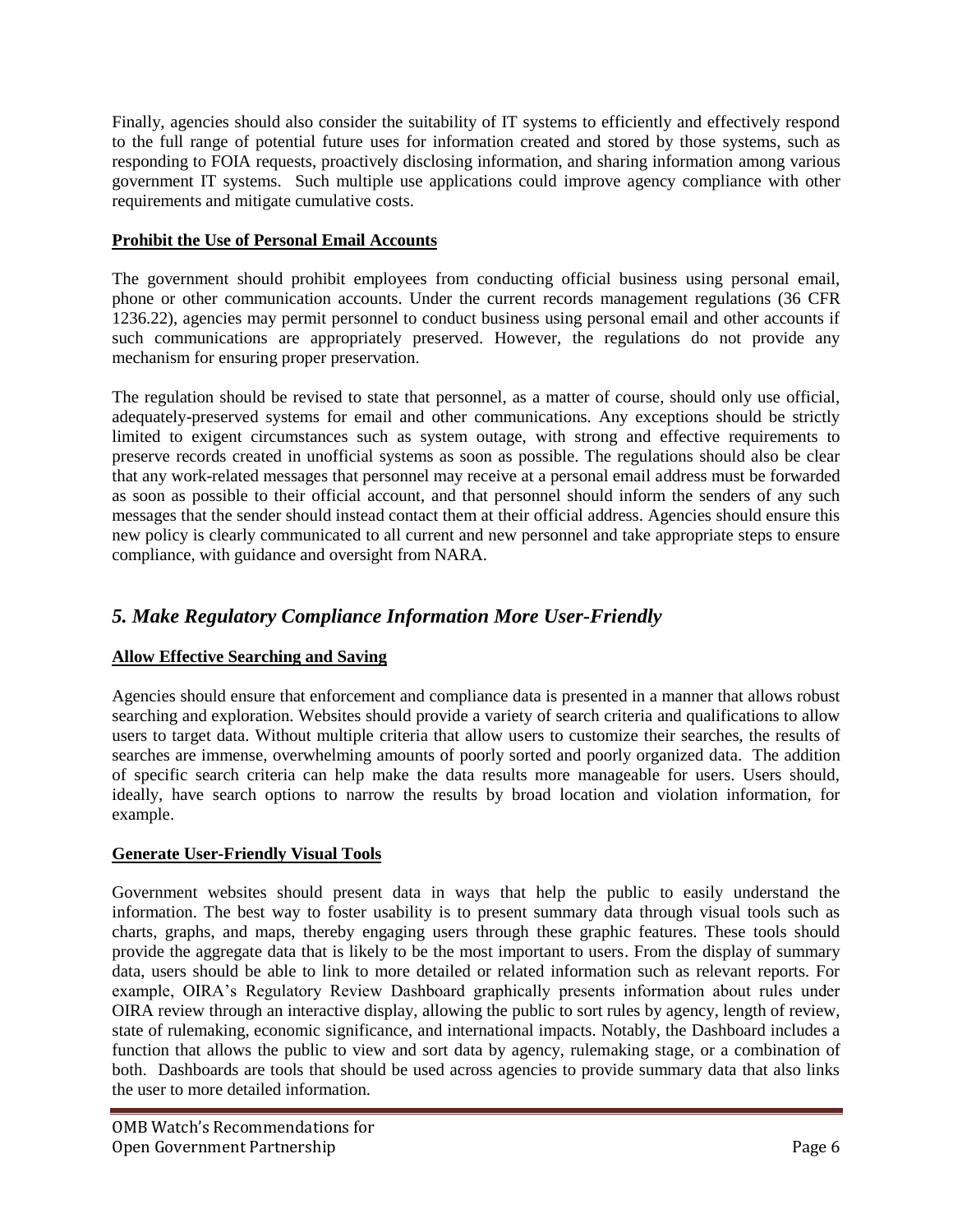Finally, agencies should also consider the suitability of IT systems to efficiently and effectively respond to the full range of potential future uses for information created and stored by those systems, such as responding to FOIA requests, proactively disclosing information, and sharing information among various government IT systems. Such multiple use applications could improve agency compliance with other requirements and mitigate cumulative costs.

## **Prohibit the Use of Personal Email Accounts**

The government should prohibit employees from conducting official business using personal email, phone or other communication accounts. Under the current records management regulations (36 CFR 1236.22), agencies may permit personnel to conduct business using personal email and other accounts if such communications are appropriately preserved. However, the regulations do not provide any mechanism for ensuring proper preservation.

The regulation should be revised to state that personnel, as a matter of course, should only use official, adequately-preserved systems for email and other communications. Any exceptions should be strictly limited to exigent circumstances such as system outage, with strong and effective requirements to preserve records created in unofficial systems as soon as possible. The regulations should also be clear that any work-related messages that personnel may receive at a personal email address must be forwarded as soon as possible to their official account, and that personnel should inform the senders of any such messages that the sender should instead contact them at their official address. Agencies should ensure this new policy is clearly communicated to all current and new personnel and take appropriate steps to ensure compliance, with guidance and oversight from NARA.

# *5. Make Regulatory Compliance Information More User-Friendly*

# **Allow Effective Searching and Saving**

Agencies should ensure that enforcement and compliance data is presented in a manner that allows robust searching and exploration. Websites should provide a variety of search criteria and qualifications to allow users to target data. Without multiple criteria that allow users to customize their searches, the results of searches are immense, overwhelming amounts of poorly sorted and poorly organized data. The addition of specific search criteria can help make the data results more manageable for users. Users should, ideally, have search options to narrow the results by broad location and violation information, for example.

# **Generate User-Friendly Visual Tools**

Government websites should present data in ways that help the public to easily understand the information. The best way to foster usability is to present summary data through visual tools such as charts, graphs, and maps, thereby engaging users through these graphic features. These tools should provide the aggregate data that is likely to be the most important to users. From the display of summary data, users should be able to link to more detailed or related information such as relevant reports. For example, OIRA's Regulatory Review Dashboard graphically presents information about rules under OIRA review through an interactive display, allowing the public to sort rules by agency, length of review, state of rulemaking, economic significance, and international impacts. Notably, the Dashboard includes a function that allows the public to view and sort data by agency, rulemaking stage, or a combination of both. Dashboards are tools that should be used across agencies to provide summary data that also links the user to more detailed information.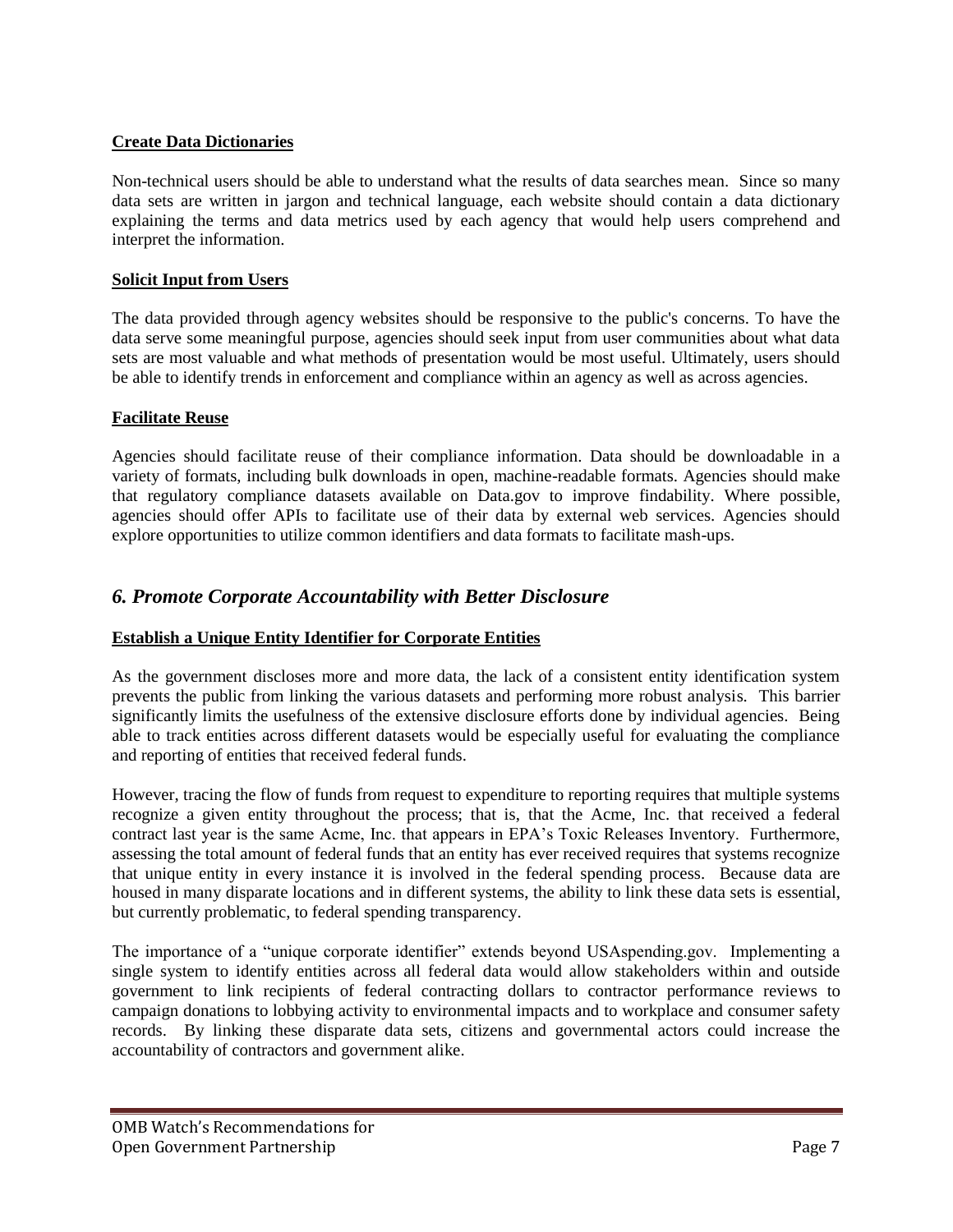## **Create Data Dictionaries**

Non-technical users should be able to understand what the results of data searches mean. Since so many data sets are written in jargon and technical language, each website should contain a data dictionary explaining the terms and data metrics used by each agency that would help users comprehend and interpret the information.

## **Solicit Input from Users**

The data provided through agency websites should be responsive to the public's concerns. To have the data serve some meaningful purpose, agencies should seek input from user communities about what data sets are most valuable and what methods of presentation would be most useful. Ultimately, users should be able to identify trends in enforcement and compliance within an agency as well as across agencies.

## **Facilitate Reuse**

Agencies should facilitate reuse of their compliance information. Data should be downloadable in a variety of formats, including bulk downloads in open, machine-readable formats. Agencies should make that regulatory compliance datasets available on Data.gov to improve findability. Where possible, agencies should offer APIs to facilitate use of their data by external web services. Agencies should explore opportunities to utilize common identifiers and data formats to facilitate mash-ups.

# *6. Promote Corporate Accountability with Better Disclosure*

## **Establish a Unique Entity Identifier for Corporate Entities**

As the government discloses more and more data, the lack of a consistent entity identification system prevents the public from linking the various datasets and performing more robust analysis. This barrier significantly limits the usefulness of the extensive disclosure efforts done by individual agencies. Being able to track entities across different datasets would be especially useful for evaluating the compliance and reporting of entities that received federal funds.

However, tracing the flow of funds from request to expenditure to reporting requires that multiple systems recognize a given entity throughout the process; that is, that the Acme, Inc. that received a federal contract last year is the same Acme, Inc. that appears in EPA's Toxic Releases Inventory. Furthermore, assessing the total amount of federal funds that an entity has ever received requires that systems recognize that unique entity in every instance it is involved in the federal spending process. Because data are housed in many disparate locations and in different systems, the ability to link these data sets is essential, but currently problematic, to federal spending transparency.

The importance of a "unique corporate identifier" extends beyond USAspending.gov. Implementing a single system to identify entities across all federal data would allow stakeholders within and outside government to link recipients of federal contracting dollars to contractor performance reviews to campaign donations to lobbying activity to environmental impacts and to workplace and consumer safety records. By linking these disparate data sets, citizens and governmental actors could increase the accountability of contractors and government alike.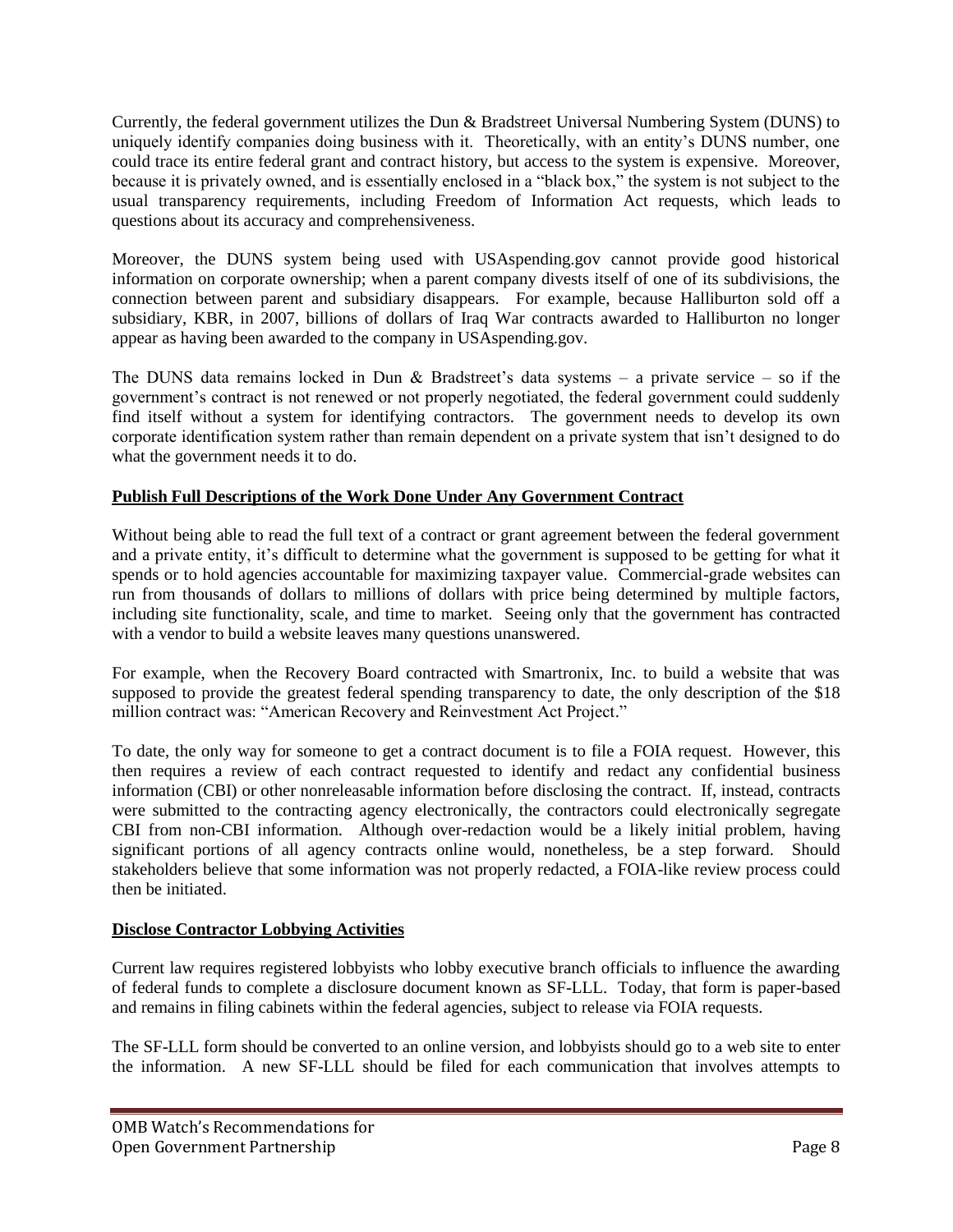Currently, the federal government utilizes the Dun & Bradstreet Universal Numbering System (DUNS) to uniquely identify companies doing business with it. Theoretically, with an entity's DUNS number, one could trace its entire federal grant and contract history, but access to the system is expensive. Moreover, because it is privately owned, and is essentially enclosed in a "black box," the system is not subject to the usual transparency requirements, including Freedom of Information Act requests, which leads to questions about its accuracy and comprehensiveness.

Moreover, the DUNS system being used with USAspending.gov cannot provide good historical information on corporate ownership; when a parent company divests itself of one of its subdivisions, the connection between parent and subsidiary disappears. For example, because Halliburton sold off a subsidiary, KBR, in 2007, billions of dollars of Iraq War contracts awarded to Halliburton no longer appear as having been awarded to the company in USAspending.gov.

The DUNS data remains locked in Dun & Bradstreet's data systems – a private service – so if the government's contract is not renewed or not properly negotiated, the federal government could suddenly find itself without a system for identifying contractors. The government needs to develop its own corporate identification system rather than remain dependent on a private system that isn't designed to do what the government needs it to do.

## **Publish Full Descriptions of the Work Done Under Any Government Contract**

Without being able to read the full text of a contract or grant agreement between the federal government and a private entity, it's difficult to determine what the government is supposed to be getting for what it spends or to hold agencies accountable for maximizing taxpayer value. Commercial-grade websites can run from thousands of dollars to millions of dollars with price being determined by multiple factors, including site functionality, scale, and time to market. Seeing only that the government has contracted with a vendor to build a website leaves many questions unanswered.

For example, when the Recovery Board contracted with Smartronix, Inc. to build a website that was supposed to provide the greatest federal spending transparency to date, the only description of the \$18 million contract was: "American Recovery and Reinvestment Act Project."

To date, the only way for someone to get a contract document is to file a FOIA request. However, this then requires a review of each contract requested to identify and redact any confidential business information (CBI) or other nonreleasable information before disclosing the contract. If, instead, contracts were submitted to the contracting agency electronically, the contractors could electronically segregate CBI from non-CBI information. Although over-redaction would be a likely initial problem, having significant portions of all agency contracts online would, nonetheless, be a step forward. Should stakeholders believe that some information was not properly redacted, a FOIA-like review process could then be initiated.

## **Disclose Contractor Lobbying Activities**

Current law requires registered lobbyists who lobby executive branch officials to influence the awarding of federal funds to complete a disclosure document known as SF-LLL. Today, that form is paper-based and remains in filing cabinets within the federal agencies, subject to release via FOIA requests.

The SF-LLL form should be converted to an online version, and lobbyists should go to a web site to enter the information. A new SF-LLL should be filed for each communication that involves attempts to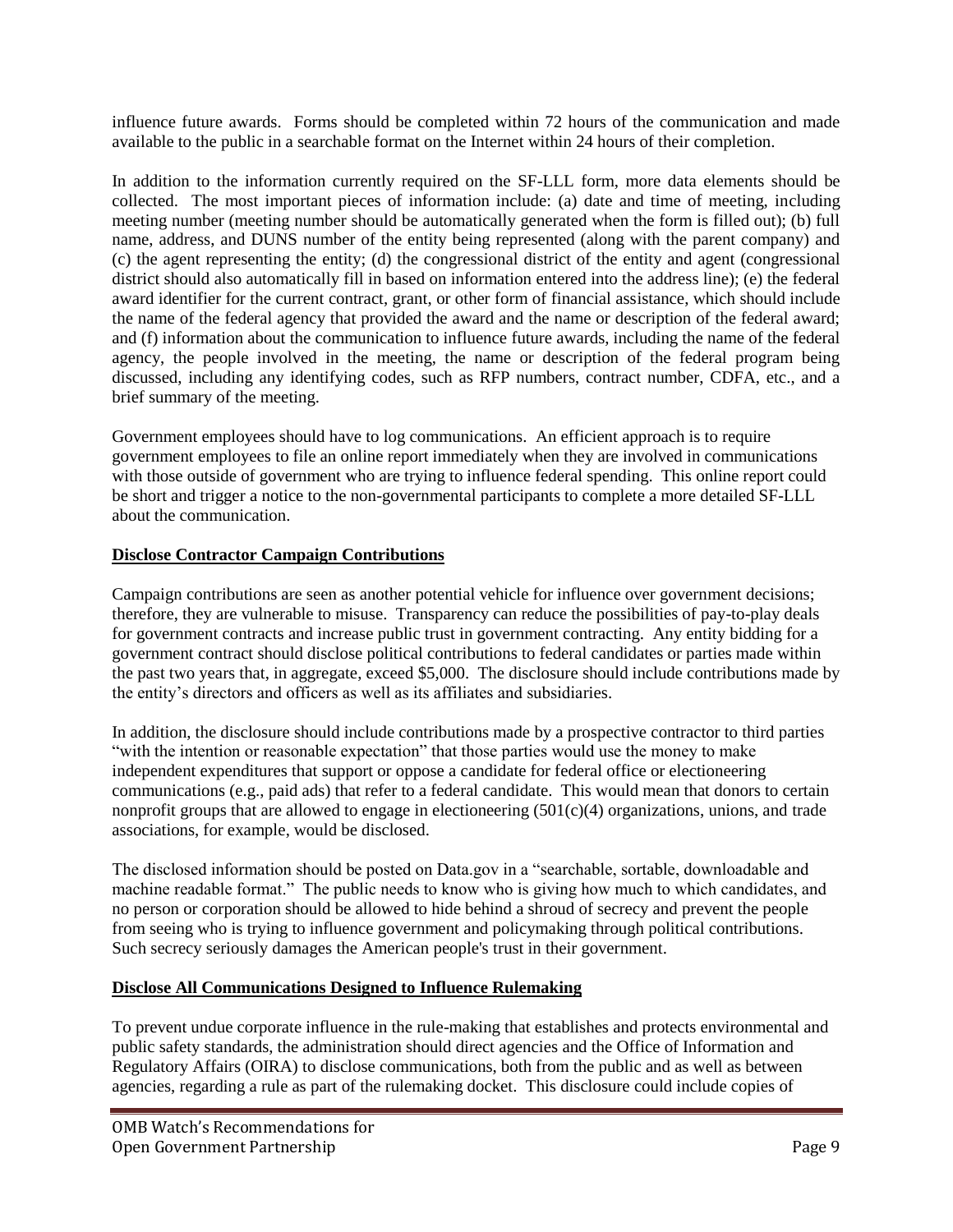influence future awards. Forms should be completed within 72 hours of the communication and made available to the public in a searchable format on the Internet within 24 hours of their completion.

In addition to the information currently required on the SF-LLL form, more data elements should be collected. The most important pieces of information include: (a) date and time of meeting, including meeting number (meeting number should be automatically generated when the form is filled out); (b) full name, address, and DUNS number of the entity being represented (along with the parent company) and (c) the agent representing the entity; (d) the congressional district of the entity and agent (congressional district should also automatically fill in based on information entered into the address line); (e) the federal award identifier for the current contract, grant, or other form of financial assistance, which should include the name of the federal agency that provided the award and the name or description of the federal award; and (f) information about the communication to influence future awards, including the name of the federal agency, the people involved in the meeting, the name or description of the federal program being discussed, including any identifying codes, such as RFP numbers, contract number, CDFA, etc., and a brief summary of the meeting.

Government employees should have to log communications. An efficient approach is to require government employees to file an online report immediately when they are involved in communications with those outside of government who are trying to influence federal spending. This online report could be short and trigger a notice to the non-governmental participants to complete a more detailed SF-LLL about the communication.

## **Disclose Contractor Campaign Contributions**

Campaign contributions are seen as another potential vehicle for influence over government decisions; therefore, they are vulnerable to misuse. Transparency can reduce the possibilities of pay-to-play deals for government contracts and increase public trust in government contracting. Any entity bidding for a government contract should disclose political contributions to federal candidates or parties made within the past two years that, in aggregate, exceed \$5,000. The disclosure should include contributions made by the entity's directors and officers as well as its affiliates and subsidiaries.

In addition, the disclosure should include contributions made by a prospective contractor to third parties "with the intention or reasonable expectation" that those parties would use the money to make independent expenditures that support or oppose a candidate for federal office or electioneering communications (e.g., paid ads) that refer to a federal candidate. This would mean that donors to certain nonprofit groups that are allowed to engage in electioneering  $(501(c)(4)$  organizations, unions, and trade associations, for example, would be disclosed.

The disclosed information should be posted on Data.gov in a "searchable, sortable, downloadable and machine readable format." The public needs to know who is giving how much to which candidates, and no person or corporation should be allowed to hide behind a shroud of secrecy and prevent the people from seeing who is trying to influence government and policymaking through political contributions. Such secrecy seriously damages the American people's trust in their government.

#### **Disclose All Communications Designed to Influence Rulemaking**

To prevent undue corporate influence in the rule-making that establishes and protects environmental and public safety standards, the administration should direct agencies and the Office of Information and Regulatory Affairs (OIRA) to disclose communications, both from the public and as well as between agencies, regarding a rule as part of the rulemaking docket. This disclosure could include copies of